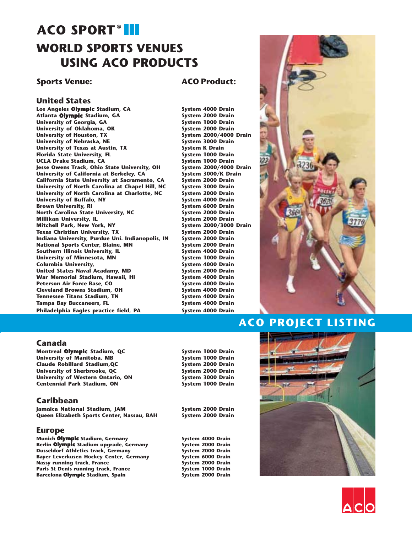# **ACO SPORT®III WORLD SPORTS VENUES USING ACO PRODUCTS**

### **Sports Venue: ACO Product:**

#### **United States**

**Los Angeles Olympic Stadium, CA** System 4000 Drain<br>
Atlanta Olympic Stadium, GA System 2000 Drain **Atlanta Olympic Stadium, GA** University of Georgia, GA **System 1000 Drain**<br>
University of Oklahoma, OK System 2000 Drain University of Oklahoma, OK **System 2000 Drain**<br>
University of Houston, TX System 2000/4000 Drain University of Houston, TX and the System 2000/4000<br>
University of Nebraska, NE and System 3000 Drain University of Nebraska, NE<br>
University of Texas at Austin, TX **System K** Drain University of Texas at Austin, TX **System K Drain**<br>
Florida State University, FL System 1000 Drain **Florida State University, FL** System 1000 Drain<br>
UCLA Drake Stadium, CA System 1000 Drain UCLA Drake Stadium, CA **System 1000 Drain**<br>Jesse Owens Track, Ohio State University, OH System 2000/4000 Drain **Jesse Owens Track, Ohio State University, OH** System 2000/4000 Drain<br>University of California at Berkeley, CA System 3000/K Drain **University of California at Berkeley, CA California State University at Sacramento, CA System 2000 Drain University of North Carolina at Chapel Hill, NC System 3000 Drain University of North Carolina at Charlotte, NC System 2000 Drain** University of Buffalo, NY **System 4000 Drain**<br>Brown University, RI System 6000 Drain **Brown University, RI North Carolina State University, NC 59 System 2000 Drain**<br>Millikan University, IL 68 System 2000 Drain Millikan University, IL **System 2000 Drain**<br>Mitchell Park, New York, NY System 2000/3000 Drain Mitchell Park, New York, NY **System 2000/3000**<br>
Texas Christian University, TX System 2000 Drain **Texas Christian University, TX** System 2000 Drain<br>Indiana University, Purdue Uni, Indianopolis, IN System 2000 Drain **Indiana University, Purdue Uni. Indianopolis, IN National Sports Center, Blaine, MN System 2000 Drain**<br> **System 4000 Drain**<br>
System 4000 Drain **Southern Illinois University, IL** University of Minnesota, MN<br>
Columbia University, **MN** System 4000 Drain **Columbia University,** *Columbia University***,** *System 4000 Drain***<br>
United States Naval Acadamy, MD System 2000 Drain United States Naval Acadamy, MD System 2000 Drain War Memorial Stadium, Hawaii, HI** Peterson Air Force Base, CO **System 4000 Drain**<br>
Cleveland Browns Stadium, OH System 4000 Drain **Cleveland Browns Stadium, OH System 4000 Drain**<br> **Tennessee Titans Stadium, TN** System 4000 Drain **Tennessee Titans Stadium, TN System 4000 Drain**<br> **Tampa Bay Buccaneers, FL** System 4000 Drain **Tampa Bay Buccaneers, FL** Philadelphia Eagles practice field, PA **System 4000 Drain** 



# **ACO PROJECT LISTING**

#### **Canada**

**Montreal Olympic Stadium, QC** System 1000 Drain<br>
University of Manitoba, MB System 1000 Drain **University of Manitoba, MB Claude Robillard Stadium,QC System 2000 Drain** University of Sherbrooke, QC<br>
University of Western Ontario, ON System 3000 Drain **University of Western Ontario, ON System 3000 Drain Centennial Park Stadium, ON** 

### **Caribbean**

**Jamaica National Stadium, JAM System 2000 Drain Queen Elizabeth Sports Center, Nassau, BAH System 2000 Drain**

#### **Europe**

**Munich Olympic** Stadium, Germany **System 4000 Drain**<br>
Berlin Olympic Stadium upgrade, Germany System 2000 Drain **Berlin Olympic Stadium upgrade, Germany System 2000 Drain<br>Dusseldorf Athletics track, Germany System 2000 Drain Dusseldorf Athletics track, Germany System 2000 Drain**<br> **Bayer Leverkusen Hockey Center, Germany System 6000 Drain Bayer Leverkusen Hockey Center, Germany System 6000 Drain Nassy running track, France** Paris St Denis running track, France **System 1000 Drain**<br>Barcelona Olympic Stadium, Spain System 2000 Drain **Barcelona Olympic Stadium, Spain**